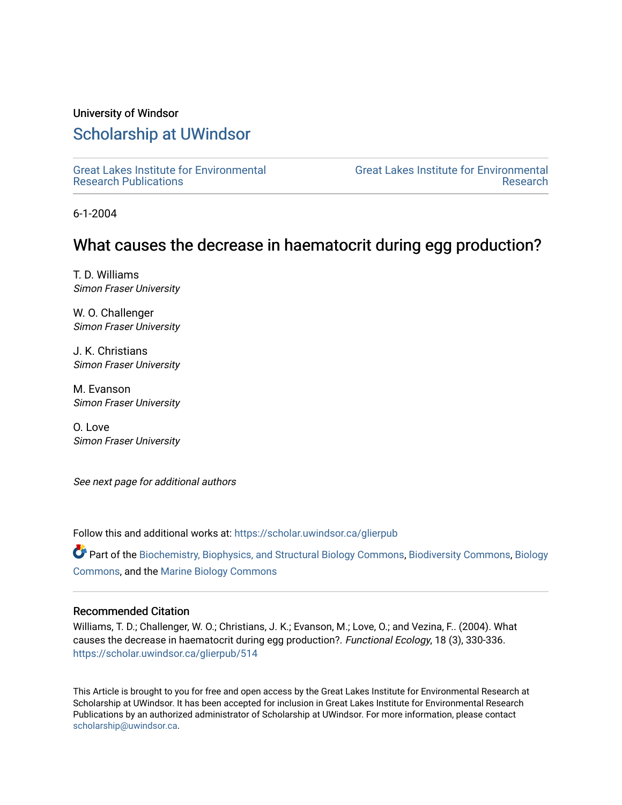## University of Windsor

# [Scholarship at UWindsor](https://scholar.uwindsor.ca/)

[Great Lakes Institute for Environmental](https://scholar.uwindsor.ca/glierpub) [Research Publications](https://scholar.uwindsor.ca/glierpub) 

[Great Lakes Institute for Environmental](https://scholar.uwindsor.ca/glier)  [Research](https://scholar.uwindsor.ca/glier) 

6-1-2004

# What causes the decrease in haematocrit during egg production?

T. D. Williams Simon Fraser University

W. O. Challenger Simon Fraser University

J. K. Christians Simon Fraser University

M. Evanson Simon Fraser University

O. Love Simon Fraser University

See next page for additional authors

Follow this and additional works at: [https://scholar.uwindsor.ca/glierpub](https://scholar.uwindsor.ca/glierpub?utm_source=scholar.uwindsor.ca%2Fglierpub%2F514&utm_medium=PDF&utm_campaign=PDFCoverPages) 

Part of the [Biochemistry, Biophysics, and Structural Biology Commons](http://network.bepress.com/hgg/discipline/1?utm_source=scholar.uwindsor.ca%2Fglierpub%2F514&utm_medium=PDF&utm_campaign=PDFCoverPages), [Biodiversity Commons,](http://network.bepress.com/hgg/discipline/1127?utm_source=scholar.uwindsor.ca%2Fglierpub%2F514&utm_medium=PDF&utm_campaign=PDFCoverPages) [Biology](http://network.bepress.com/hgg/discipline/41?utm_source=scholar.uwindsor.ca%2Fglierpub%2F514&utm_medium=PDF&utm_campaign=PDFCoverPages)  [Commons](http://network.bepress.com/hgg/discipline/41?utm_source=scholar.uwindsor.ca%2Fglierpub%2F514&utm_medium=PDF&utm_campaign=PDFCoverPages), and the [Marine Biology Commons](http://network.bepress.com/hgg/discipline/1126?utm_source=scholar.uwindsor.ca%2Fglierpub%2F514&utm_medium=PDF&utm_campaign=PDFCoverPages) 

## Recommended Citation

Williams, T. D.; Challenger, W. O.; Christians, J. K.; Evanson, M.; Love, O.; and Vezina, F.. (2004). What causes the decrease in haematocrit during egg production?. Functional Ecology, 18 (3), 330-336. [https://scholar.uwindsor.ca/glierpub/514](https://scholar.uwindsor.ca/glierpub/514?utm_source=scholar.uwindsor.ca%2Fglierpub%2F514&utm_medium=PDF&utm_campaign=PDFCoverPages) 

This Article is brought to you for free and open access by the Great Lakes Institute for Environmental Research at Scholarship at UWindsor. It has been accepted for inclusion in Great Lakes Institute for Environmental Research Publications by an authorized administrator of Scholarship at UWindsor. For more information, please contact [scholarship@uwindsor.ca.](mailto:scholarship@uwindsor.ca)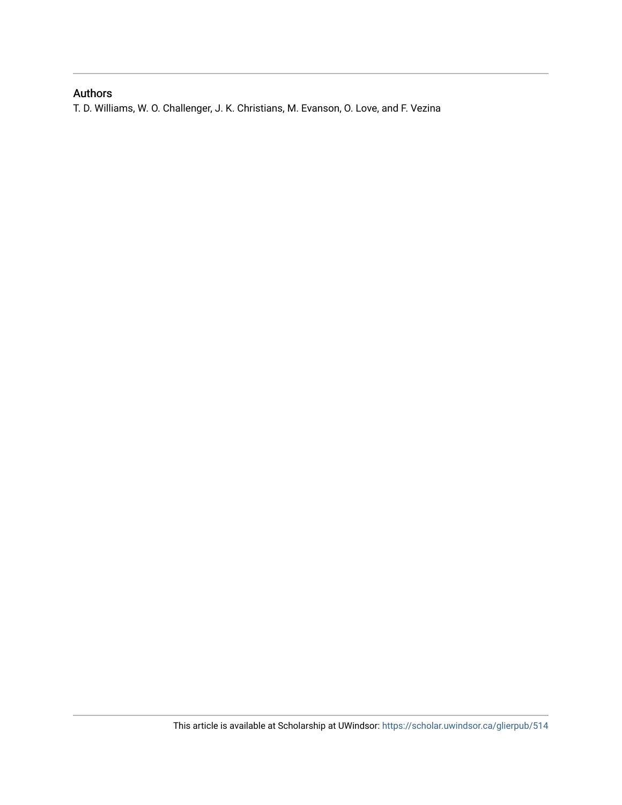# Authors

T. D. Williams, W. O. Challenger, J. K. Christians, M. Evanson, O. Love, and F. Vezina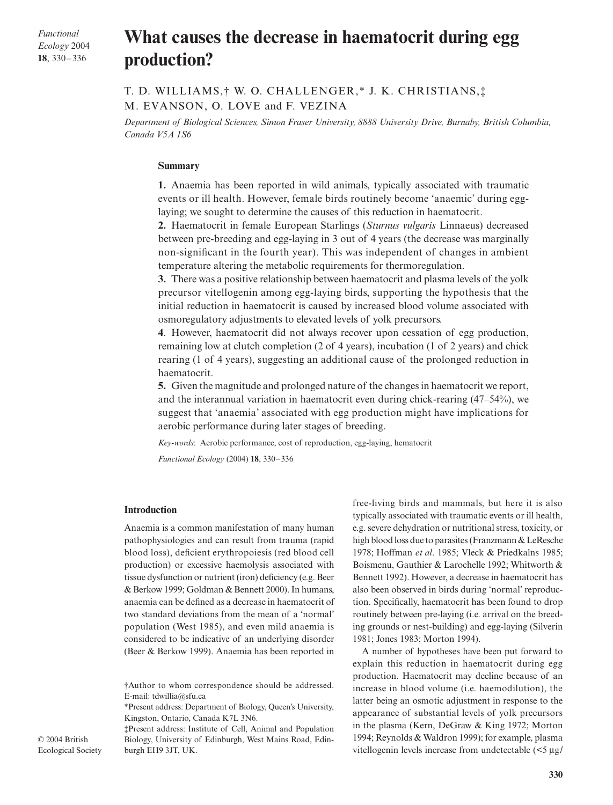*Functional Ecology* 2004 **18**, 330–336

# What causes the decrease in haematocrit during egg **production?**

T. D. WILLIAMS,† W. O. CHALLENGER,\* J. K. CHRISTIANS,‡ M. EVANSON, O. LOVE and F. VEZINA

*Department of Biological Sciences, Simon Fraser University, 8888 University Drive, Burnaby, British Columbia, Canada V5A 1S6* 

#### **Summary**

**1.** Anaemia has been reported in wild animals, typically associated with traumatic events or ill health. However, female birds routinely become 'anaemic' during egglaying; we sought to determine the causes of this reduction in haematocrit.

**2.** Haematocrit in female European Starlings (*Sturnus vulgaris* Linnaeus) decreased between pre-breeding and egg-laying in 3 out of 4 years (the decrease was marginally non-significant in the fourth year). This was independent of changes in ambient temperature altering the metabolic requirements for thermoregulation.

**3.** There was a positive relationship between haematocrit and plasma levels of the yolk precursor vitellogenin among egg-laying birds, supporting the hypothesis that the initial reduction in haematocrit is caused by increased blood volume associated with osmoregulatory adjustments to elevated levels of yolk precursors.

**4**. However, haematocrit did not always recover upon cessation of egg production, remaining low at clutch completion (2 of 4 years), incubation (1 of 2 years) and chick rearing (1 of 4 years), suggesting an additional cause of the prolonged reduction in haematocrit.

**5.** Given the magnitude and prolonged nature of the changes in haematocrit we report, and the interannual variation in haematocrit even during chick-rearing (47–54%), we suggest that 'anaemia' associated with egg production might have implications for aerobic performance during later stages of breeding.

*Key-words*: Aerobic performance, cost of reproduction, egg-laying, hematocrit

*Functional Ecology* (2004) **18**, 330–336

#### **Introduction**

Anaemia is a common manifestation of many human pathophysiologies and can result from trauma (rapid blood loss), deficient erythropoiesis (red blood cell production) or excessive haemolysis associated with tissue dysfunction or nutrient (iron) deficiency (e.g. Beer & Berkow 1999; Goldman & Bennett 2000). In humans, anaemia can be defined as a decrease in haematocrit of two standard deviations from the mean of a 'normal' population (West 1985), and even mild anaemia is considered to be indicative of an underlying disorder (Beer & Berkow 1999). Anaemia has been reported in

‡Present address: Institute of Cell, Animal and Population Biology, University of Edinburgh, West Mains Road, Edinburgh EH9 3JT, UK.

free-living birds and mammals, but here it is also typically associated with traumatic events or ill health, e.g. severe dehydration or nutritional stress, toxicity, or high blood loss due to parasites (Franzmann & LeResche 1978; Hoffman *et al*. 1985; Vleck & Priedkalns 1985; Boismenu, Gauthier & Larochelle 1992; Whitworth & Bennett 1992). However, a decrease in haematocrit has also been observed in birds during 'normal' reproduction. Specifically, haematocrit has been found to drop routinely between pre-laying (i.e. arrival on the breeding grounds or nest-building) and egg-laying (Silverin 1981; Jones 1983; Morton 1994).

A number of hypotheses have been put forward to explain this reduction in haematocrit during egg production. Haematocrit may decline because of an increase in blood volume (i.e. haemodilution), the latter being an osmotic adjustment in response to the appearance of substantial levels of yolk precursors in the plasma (Kern, DeGraw & King 1972; Morton 1994; Reynolds & Waldron 1999); for example, plasma vitellogenin levels increase from undetectable  $\left( \leq 5 \mu g \right)$ 

<sup>†</sup>Author to whom correspondence should be addressed. E-mail: tdwillia@sfu.ca

<sup>\*</sup>Present address: Department of Biology, Queen's University, Kingston, Ontario, Canada K7L 3N6.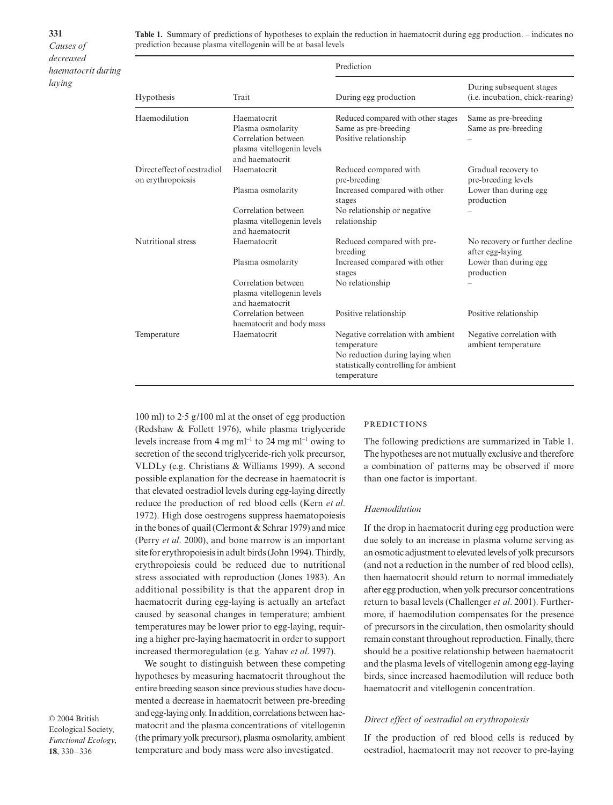**331** *Causes of decreased haematocrit during laying*

**Table 1.** Summary of predictions of hypotheses to explain the reduction in haematocrit during egg production. – indicates no prediction because plasma vitellogenin will be at basal levels

| Hypothesis                                       |                                                                                                          | Prediction                                                                                                                                  |                                                                                           |  |  |  |
|--------------------------------------------------|----------------------------------------------------------------------------------------------------------|---------------------------------------------------------------------------------------------------------------------------------------------|-------------------------------------------------------------------------------------------|--|--|--|
|                                                  | Trait                                                                                                    | During egg production                                                                                                                       | During subsequent stages<br>( <i>i.e.</i> incubation, chick-rearing)                      |  |  |  |
| Haemodilution                                    | Haematocrit<br>Plasma osmolarity<br>Correlation between<br>plasma vitellogenin levels<br>and haematocrit | Reduced compared with other stages<br>Same as pre-breeding<br>Positive relationship                                                         | Same as pre-breeding<br>Same as pre-breeding                                              |  |  |  |
| Direct effect of oestradiol<br>on erythropoiesis | Haematocrit<br>Plasma osmolarity<br>Correlation between<br>plasma vitellogenin levels                    | Reduced compared with<br>pre-breeding<br>Increased compared with other<br>stages<br>No relationship or negative.<br>relationship            | Gradual recovery to<br>pre-breeding levels<br>Lower than during egg<br>production         |  |  |  |
| Nutritional stress                               | and haematocrit<br>Haematocrit<br>Plasma osmolarity                                                      | Reduced compared with pre-<br>breeding<br>Increased compared with other<br>stages                                                           | No recovery or further decline<br>after egg-laying<br>Lower than during egg<br>production |  |  |  |
|                                                  | Correlation between<br>plasma vitellogenin levels<br>and haematocrit<br>Correlation between              | No relationship<br>Positive relationship                                                                                                    | Positive relationship                                                                     |  |  |  |
| Temperature                                      | haematocrit and body mass<br>Haematocrit                                                                 | Negative correlation with ambient<br>temperature<br>No reduction during laying when<br>statistically controlling for ambient<br>temperature | Negative correlation with<br>ambient temperature                                          |  |  |  |

100 ml) to 2·5 g/100 ml at the onset of egg production (Redshaw & Follett 1976), while plasma triglyceride levels increase from 4 mg ml<sup>−</sup><sup>1</sup> to 24 mg ml<sup>−</sup><sup>1</sup> owing to secretion of the second triglyceride-rich yolk precursor, VLDLy (e.g. Christians & Williams 1999). A second possible explanation for the decrease in haematocrit is that elevated oestradiol levels during egg-laying directly reduce the production of red blood cells (Kern *et al*. 1972). High dose oestrogens suppress haematopoiesis in the bones of quail (Clermont & Schrar 1979) and mice (Perry *et al*. 2000), and bone marrow is an important site for erythropoiesis in adult birds (John 1994). Thirdly, erythropoiesis could be reduced due to nutritional stress associated with reproduction (Jones 1983). An additional possibility is that the apparent drop in haematocrit during egg-laying is actually an artefact caused by seasonal changes in temperature; ambient temperatures may be lower prior to egg-laying, requiring a higher pre-laying haematocrit in order to support increased thermoregulation (e.g. Yahav *et al*. 1997).

We sought to distinguish between these competing hypotheses by measuring haematocrit throughout the entire breeding season since previous studies have documented a decrease in haematocrit between pre-breeding and egg-laying only. In addition, correlations between haematocrit and the plasma concentrations of vitellogenin (the primary yolk precursor), plasma osmolarity, ambient temperature and body mass were also investigated.

**PREDICTIONS** 

The following predictions are summarized in Table 1. The hypotheses are not mutually exclusive and therefore a combination of patterns may be observed if more than one factor is important.

#### *Haemodilution*

If the drop in haematocrit during egg production were due solely to an increase in plasma volume serving as an osmotic adjustment to elevated levels of yolk precursors (and not a reduction in the number of red blood cells), then haematocrit should return to normal immediately after egg production, when yolk precursor concentrations return to basal levels (Challenger *et al*. 2001). Furthermore, if haemodilution compensates for the presence of precursors in the circulation, then osmolarity should remain constant throughout reproduction. Finally, there should be a positive relationship between haematocrit and the plasma levels of vitellogenin among egg-laying birds, since increased haemodilution will reduce both haematocrit and vitellogenin concentration.

### *Direct effect of oestradiol on erythropoiesis*

If the production of red blood cells is reduced by oestradiol, haematocrit may not recover to pre-laying

© 2004 British Ecological Society, *Functional Ecology*, **18**, 330–336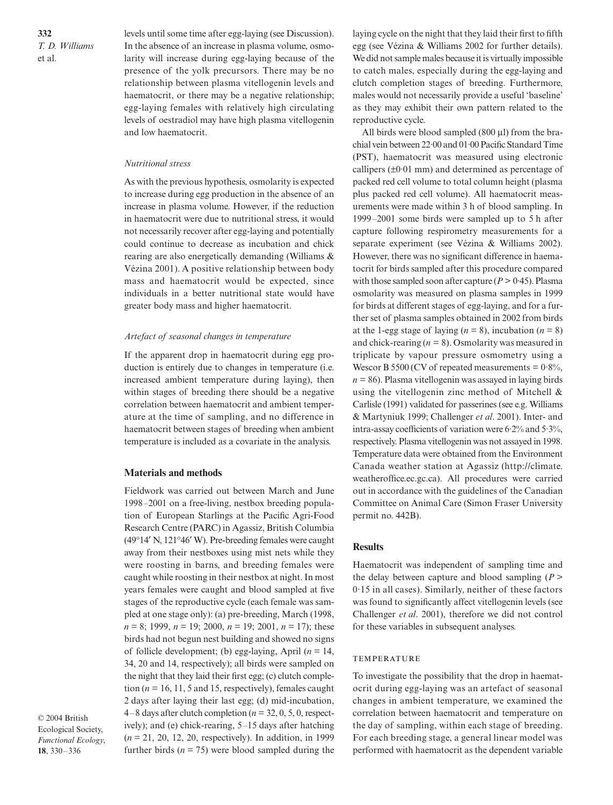**332** *T. D. Williams*  et al.

levels until some time after egg-laying (see Discussion). In the absence of an increase in plasma volume, osmolarity will increase during egg-laying because of the presence of the yolk precursors. There may be no relationship between plasma vitellogenin levels and haematocrit, or there may be a negative relationship; egg-laying females with relatively high circulating levels of oestradiol may have high plasma vitellogenin and low haematocrit.

#### *Nutritional stress*

As with the previous hypothesis, osmolarity is expected to increase during egg production in the absence of an increase in plasma volume. However, if the reduction in haematocrit were due to nutritional stress, it would not necessarily recover after egg-laying and potentially could continue to decrease as incubation and chick rearing are also energetically demanding (Williams & Vézina 2001). A positive relationship between body mass and haematocrit would be expected, since individuals in a better nutritional state would have greater body mass and higher haematocrit.

#### *Artefact of seasonal changes in temperature*

If the apparent drop in haematocrit during egg production is entirely due to changes in temperature (i.e. increased ambient temperature during laying), then within stages of breeding there should be a negative correlation between haematocrit and ambient temperature at the time of sampling, and no difference in haematocrit between stages of breeding when ambient temperature is included as a covariate in the analysis.

#### **Materials and methods**

Fieldwork was carried out between March and June 1998–2001 on a free-living, nestbox breeding population of European Starlings at the Pacific Agri-Food Research Centre (PARC) in Agassiz, British Columbia (49°14′ N, 121°46′ W). Pre-breeding females were caught away from their nestboxes using mist nets while they were roosting in barns, and breeding females were caught while roosting in their nestbox at night. In most years females were caught and blood sampled at five stages of the reproductive cycle (each female was sampled at one stage only): (a) pre-breeding, March (1998, *n* = 8; 1999, *n* = 19; 2000, *n* = 19; 2001, *n* = 17); these birds had not begun nest building and showed no signs of follicle development; (b) egg-laying, April (*n* = 14, 34, 20 and 14, respectively); all birds were sampled on the night that they laid their first egg; (c) clutch completion ( $n = 16, 11, 5$  and 15, respectively), females caught 2 days after laying their last egg; (d) mid-incubation, 4–8 days after clutch completion (*n* = 32, 0, 5, 0, respectively); and (e) chick-rearing, 5–15 days after hatching (*n* = 21, 20, 12, 20, respectively). In addition, in 1999 further birds  $(n = 75)$  were blood sampled during the

© 2004 British Ecological Society, *Functional Ecology*, **18**, 330–336

laying cycle on the night that they laid their first to fifth egg (see Vézina & Williams 2002 for further details). We did not sample males because it is virtually impossible to catch males, especially during the egg-laying and clutch completion stages of breeding. Furthermore, males would not necessarily provide a useful 'baseline' as they may exhibit their own pattern related to the reproductive cycle.

All birds were blood sampled (800 µl) from the brachial vein between 22·00 and 01·00 Pacific Standard Time (PST), haematocrit was measured using electronic callipers (±0·01 mm) and determined as percentage of packed red cell volume to total column height (plasma plus packed red cell volume). All haematocrit measurements were made within 3 h of blood sampling. In 1999–2001 some birds were sampled up to 5 h after capture following respirometry measurements for a separate experiment (see Vézina & Williams 2002). However, there was no significant difference in haematocrit for birds sampled after this procedure compared with those sampled soon after capture  $(P > 0.45)$ . Plasma osmolarity was measured on plasma samples in 1999 for birds at different stages of egg-laying, and for a further set of plasma samples obtained in 2002 from birds at the 1-egg stage of laying  $(n = 8)$ , incubation  $(n = 8)$ and chick-rearing  $(n = 8)$ . Osmolarity was measured in triplicate by vapour pressure osmometry using a Wescor B 5500 (CV of repeated measurements =  $0.8\%$ ,  $n = 86$ ). Plasma vitellogenin was assayed in laying birds using the vitellogenin zinc method of Mitchell & Carlisle (1991) validated for passerines (see e.g. Williams & Martyniuk 1999; Challenger *et al*. 2001). Inter- and intra-assay coefficients of variation were 6·2% and 5·3%, respectively. Plasma vitellogenin was not assayed in 1998. Temperature data were obtained from the Environment Canada weather station at Agassiz [\(http://climate.](http://climate) weatheroffice.ec.gc.ca). All procedures were carried out in accordance with the guidelines of the Canadian Committee on Animal Care (Simon Fraser University permit no. 442B).

#### **Results**

Haematocrit was independent of sampling time and the delay between capture and blood sampling (*P* > 0·15 in all cases). Similarly, neither of these factors was found to significantly affect vitellogenin levels (see Challenger *et al*. 2001), therefore we did not control for these variables in subsequent analyses.

#### **TEMPERATURE**

To investigate the possibility that the drop in haematocrit during egg-laying was an artefact of seasonal changes in ambient temperature, we examined the correlation between haematocrit and temperature on the day of sampling, within each stage of breeding. For each breeding stage, a general linear model was performed with haematocrit as the dependent variable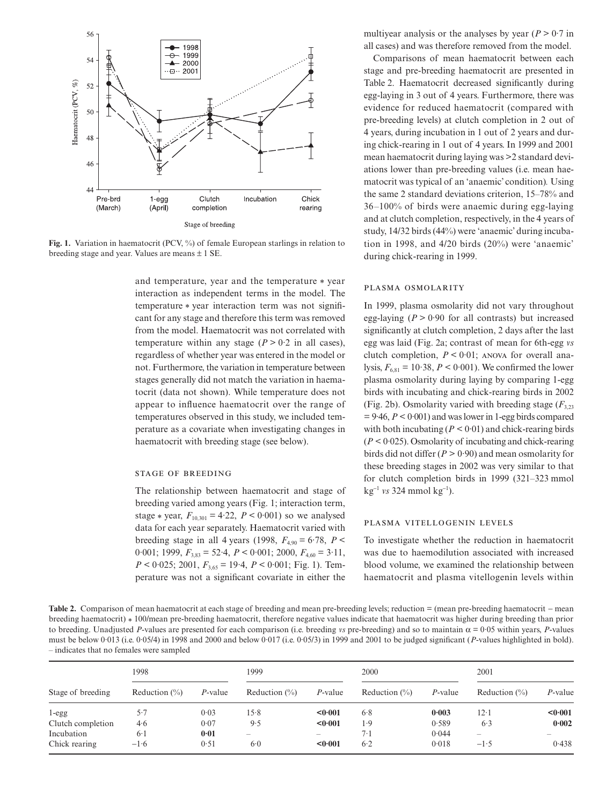

**Fig. 1.** Variation in haematocrit (PCV, %) of female European starlings in relation to breeding stage and year. Values are means  $\pm$  1 SE.

and temperature, year and the temperature \* year interaction as independent terms in the model. The temperature \* year interaction term was not significant for any stage and therefore this term was removed from the model. Haematocrit was not correlated with temperature within any stage  $(P > 0.2$  in all cases), regardless of whether year was entered in the model or not. Furthermore, the variation in temperature between stages generally did not match the variation in haematocrit (data not shown). While temperature does not appear to influence haematocrit over the range of temperatures observed in this study, we included temperature as a covariate when investigating changes in haematocrit with breeding stage (see below).

#### **STAGE OF BREEDING**

The relationship between haematocrit and stage of breeding varied among years (Fig. 1; interaction term, stage  $*$  year,  $F_{10,301} = 4.22$ ,  $P < 0.001$ ) so we analysed data for each year separately. Haematocrit varied with breeding stage in all 4 years (1998,  $F_{4.90} = 6.78$ ,  $P <$ 0·001; 1999, *F*3,83 = 52·4, *P* < 0·001; 2000, *F*4,60 = 3·11,  $P \le 0.025$ ; 2001,  $F_{3.65} = 19.4$ ,  $P \le 0.001$ ; Fig. 1). Temperature was not a significant covariate in either the

multiyear analysis or the analyses by year  $(P > 0.7$  in all cases) and was therefore removed from the model.

Comparisons of mean haematocrit between each stage and pre-breeding haematocrit are presented in Table 2. Haematocrit decreased significantly during egg-laying in 3 out of 4 years. Furthermore, there was evidence for reduced haematocrit (compared with pre-breeding levels) at clutch completion in 2 out of 4 years, during incubation in 1 out of 2 years and during chick-rearing in 1 out of 4 years. In 1999 and 2001 mean haematocrit during laying was >2 standard deviations lower than pre-breeding values (i.e. mean haematocrit was typical of an 'anaemic' condition)*.* Using the same 2 standard deviations criterion, 15–78% and 36–100% of birds were anaemic during egg-laying and at clutch completion, respectively, in the 4 years of study, 14/32 birds (44%) were 'anaemic' during incubation in 1998, and 4/20 birds (20%) were 'anaemic' during chick-rearing in 1999.

#### PLASMA OSMOLARITY

In 1999, plasma osmolarity did not vary throughout egg-laying  $(P > 0.90$  for all contrasts) but increased significantly at clutch completion, 2 days after the last egg was laid (Fig. 2a; contrast of mean for 6th-egg *vs* clutch completion,  $P \leq 0.01$ ; ANOVA for overall analysis,  $F_{6,81} = 10.38$ ,  $P < 0.001$ ). We confirmed the lower plasma osmolarity during laying by comparing 1-egg birds with incubating and chick-rearing birds in 2002 (Fig. 2b). Osmolarity varied with breeding stage  $(F_{3,23})$  $= 9.46, P < 0.001$  and was lower in 1-egg birds compared with both incubating  $(P < 0.01)$  and chick-rearing birds (*P <* 0·025). Osmolarity of incubating and chick-rearing birds did not differ  $(P > 0.90)$  and mean osmolarity for these breeding stages in 2002 was very similar to that for clutch completion birds in 1999 (321–323 mmol kg<sup>−</sup><sup>1</sup> *vs* 324 mmol kg<sup>−</sup><sup>1</sup> ).

#### PLASMA VITELLOGENIN LEVELS

To investigate whether the reduction in haematocrit was due to haemodilution associated with increased blood volume, we examined the relationship between haematocrit and plasma vitellogenin levels within

**Table 2.** Comparison of mean haematocrit at each stage of breeding and mean pre-breeding levels; reduction = (mean pre-breeding haematocrit − mean breeding haematocrit) \* 100/mean pre-breeding haematocrit, therefore negative values indicate that haematocrit was higher during breeding than prior to breeding. Unadjusted *P*-values are presented for each comparison (i.e. breeding *vs* pre-breeding) and so to maintain  $α = 0.05$  within years, *P*-values must be below 0<sup>.</sup>013 (i.e. 0<sup>.</sup>05/4) in 1998 and 2000 and below 0<sup>.</sup>017 (i.e. 0<sup>.</sup>05/3) in 1999 and 2001 to be judged significant (*P*-values highlighted in bold). – indicates that no females were sampled

| Stage of breeding | 1998              |            | 1999              |                   | 2000              |            | 2001              |                          |
|-------------------|-------------------|------------|-------------------|-------------------|-------------------|------------|-------------------|--------------------------|
|                   | Reduction $(\% )$ | $P$ -value | Reduction $(\% )$ | P-value           | Reduction $(\% )$ | $P$ -value | Reduction $(\% )$ | P-value                  |
| $1 - \text{egg}$  | 5.7               | 0.03       | 15.8              | < 0.001           | 6.8               | 0.003      | $12-1$            | < 0.001                  |
| Clutch completion | 4.6               | 0.07       | 9.5               | < 0.001           | 1.9               | 0.589      | 6.3               | 0.002                    |
| Incubation        | $6-1$             | $0 - 01$   | $\hspace{0.05cm}$ | $\hspace{0.05cm}$ | $7-1$             | 0.044      | $\hspace{0.05cm}$ | $\overline{\phantom{a}}$ |
| Chick rearing     | $-1.6$            | 0.51       | 6.0               | < 0.001           | 6.2               | 0.018      | $-1.5$            | 0.438                    |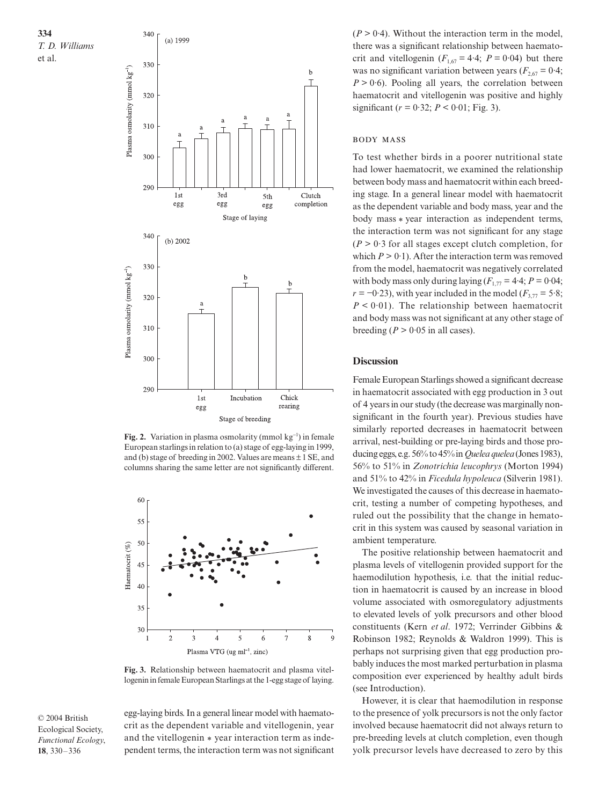



**Fig. 2.** Variation in plasma osmolarity (mmol kg<sup>-1</sup>) in female European starlings in relation to (a) stage of egg-laying in 1999, and (b) stage of breeding in 2002. Values are means  $\pm$  1 SE, and columns sharing the same letter are not significantly different.



**Fig. 3.** Relationship between haematocrit and plasma vitellogenin in female European Starlings at the 1-egg stage of laying.

© 2004 British Ecological Society, *Functional Ecology*, **18**, 330–336

egg-laying birds. In a general linear model with haematocrit as the dependent variable and vitellogenin, year and the vitellogenin \* year interaction term as independent terms, the interaction term was not significant  $(P > 0.4)$ . Without the interaction term in the model, there was a significant relationship between haematocrit and vitellogenin  $(F_{1,67} = 4.4; P = 0.04)$  but there was no significant variation between years  $(F_{2,67} = 0.4;$  $P > 0.6$ ). Pooling all years, the correlation between haematocrit and vitellogenin was positive and highly significant ( $r = 0.32$ ;  $P < 0.01$ ; Fig. 3).

#### **BODY MASS**

To test whether birds in a poorer nutritional state had lower haematocrit, we examined the relationship between body mass and haematocrit within each breeding stage. In a general linear model with haematocrit as the dependent variable and body mass, year and the body mass \* year interaction as independent terms, the interaction term was not significant for any stage  $(P > 0.3$  for all stages except clutch completion, for which  $P > 0.1$ ). After the interaction term was removed from the model, haematocrit was negatively correlated with body mass only during laying  $(F_{1.77} = 4.4; P = 0.04;$  $r = -0.23$ ), with year included in the model ( $F_{3,77} = 5.8$ ;  $P < 0.01$ ). The relationship between haematocrit and body mass was not significant at any other stage of breeding ( $P > 0.05$  in all cases).

#### **Discussion**

Female European Starlings showed a significant decrease in haematocrit associated with egg production in 3 out of 4 years in our study (the decrease was marginally nonsignificant in the fourth year). Previous studies have similarly reported decreases in haematocrit between arrival, nest-building or pre-laying birds and those producing eggs, e.g. 56% to 45% in *Quelea quelea* (Jones 1983), 56% to 51% in *Zonotrichia leucophrys* (Morton 1994) and 51% to 42% in *Ficedula hypoleuca* (Silverin 1981). We investigated the causes of this decrease in haematocrit, testing a number of competing hypotheses, and ruled out the possibility that the change in hematocrit in this system was caused by seasonal variation in ambient temperature.

The positive relationship between haematocrit and plasma levels of vitellogenin provided support for the haemodilution hypothesis, i.e. that the initial reduction in haematocrit is caused by an increase in blood volume associated with osmoregulatory adjustments to elevated levels of yolk precursors and other blood constituents (Kern *et al*. 1972; Verrinder Gibbins & Robinson 1982; Reynolds & Waldron 1999). This is perhaps not surprising given that egg production probably induces the most marked perturbation in plasma composition ever experienced by healthy adult birds (see Introduction).

However, it is clear that haemodilution in response to the presence of yolk precursors is not the only factor involved because haematocrit did not always return to pre-breeding levels at clutch completion, even though yolk precursor levels have decreased to zero by this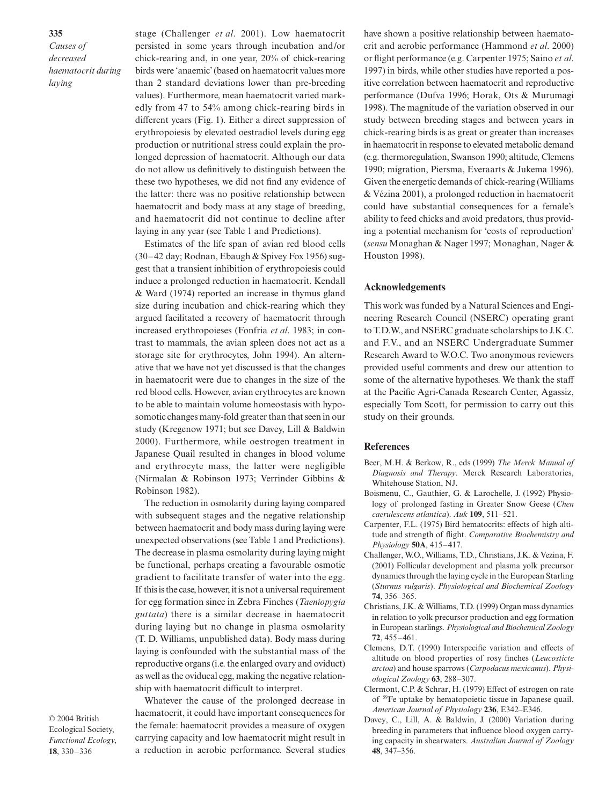**335** *Causes of decreased haematocrit during laying*

stage (Challenger *et al*. 2001). Low haematocrit persisted in some years through incubation and/or chick-rearing and, in one year, 20% of chick-rearing birds were 'anaemic' (based on haematocrit values more than 2 standard deviations lower than pre-breeding values). Furthermore, mean haematocrit varied markedly from 47 to 54% among chick-rearing birds in different years (Fig. 1). Either a direct suppression of erythropoiesis by elevated oestradiol levels during egg production or nutritional stress could explain the prolonged depression of haematocrit. Although our data do not allow us definitively to distinguish between the these two hypotheses, we did not find any evidence of the latter: there was no positive relationship between haematocrit and body mass at any stage of breeding, and haematocrit did not continue to decline after laying in any year (see Table 1 and Predictions).

Estimates of the life span of avian red blood cells (30–42 day; Rodnan, Ebaugh & Spivey Fox 1956) suggest that a transient inhibition of erythropoiesis could induce a prolonged reduction in haematocrit. Kendall & Ward (1974) reported an increase in thymus gland size during incubation and chick-rearing which they argued facilitated a recovery of haematocrit through increased erythropoieses (Fonfria *et al*. 1983; in contrast to mammals, the avian spleen does not act as a storage site for erythrocytes, John 1994). An alternative that we have not yet discussed is that the changes in haematocrit were due to changes in the size of the red blood cells. However, avian erythrocytes are known to be able to maintain volume homeostasis with hyposomotic changes many-fold greater than that seen in our study (Kregenow 1971; but see Davey, Lill & Baldwin 2000). Furthermore, while oestrogen treatment in Japanese Quail resulted in changes in blood volume and erythrocyte mass, the latter were negligible (Nirmalan & Robinson 1973; Verrinder Gibbins & Robinson 1982).

The reduction in osmolarity during laying compared with subsequent stages and the negative relationship between haematocrit and body mass during laying were unexpected observations (see Table 1 and Predictions). The decrease in plasma osmolarity during laying might be functional, perhaps creating a favourable osmotic gradient to facilitate transfer of water into the egg. If this is the case, however, it is not a universal requirement for egg formation since in Zebra Finches (*Taeniopygia guttata*) there is a similar decrease in haematocrit during laying but no change in plasma osmolarity (T. D. Williams, unpublished data). Body mass during laying is confounded with the substantial mass of the reproductive organs (i.e. the enlarged ovary and oviduct) as well as the oviducal egg, making the negative relationship with haematocrit difficult to interpret.

© 2004 British Ecological Society, *Functional Ecology*, **18**, 330–336

Whatever the cause of the prolonged decrease in haematocrit, it could have important consequences for the female: haematocrit provides a measure of oxygen carrying capacity and low haematocrit might result in a reduction in aerobic performance. Several studies

have shown a positive relationship between haematocrit and aerobic performance (Hammond *et al*. 2000) or flight performance (e.g. Carpenter 1975; Saino *et al*. 1997) in birds, while other studies have reported a positive correlation between haematocrit and reproductive performance (Dufva 1996; Horak, Ots & Murumagi 1998). The magnitude of the variation observed in our study between breeding stages and between years in chick-rearing birds is as great or greater than increases in haematocrit in response to elevated metabolic demand (e.g. thermoregulation, Swanson 1990; altitude, Clemens 1990; migration, Piersma, Everaarts & Jukema 1996). Given the energetic demands of chick-rearing (Williams & Vézina 2001), a prolonged reduction in haematocrit could have substantial consequences for a female's ability to feed chicks and avoid predators, thus providing a potential mechanism for 'costs of reproduction' (*sensu* Monaghan & Nager 1997; Monaghan, Nager & Houston 1998).

### **Acknowledgements**

This work was funded by a Natural Sciences and Engineering Research Council (NSERC) operating grant to T.D.W., and NSERC graduate scholarships to J.K.C. and F.V., and an NSERC Undergraduate Summer Research Award to W.O.C. Two anonymous reviewers provided useful comments and drew our attention to some of the alternative hypotheses. We thank the staff at the Pacific Agri-Canada Research Center, Agassiz, especially Tom Scott, for permission to carry out this study on their grounds.

#### **References**

- Beer, M.H. & Berkow, R., eds (1999) *The Merck Manual of Diagnosis and Therapy*. Merck Research Laboratories, Whitehouse Station, NJ.
- Boismenu, C., Gauthier, G. & Larochelle, J. (1992) Physiology of prolonged fasting in Greater Snow Geese (*Chen caerulescens atlantica*). *Auk* **109**, 511–521.
- Carpenter, F.L. (1975) Bird hematocrits: effects of high altitude and strength of flight. *Comparative Biochemistry and Physiology* **50A**, 415–417.
- Challenger, W.O., Williams, T.D., Christians, J.K. & Vezina, F. (2001) Follicular development and plasma yolk precursor dynamics through the laying cycle in the European Starling (*Sturnus vulgaris*). *Physiological and Biochemical Zoology* **74**, 356–365.
- Christians, J.K. & Williams, T.D. (1999) Organ mass dynamics in relation to yolk precursor production and egg formation in European starlings. *Physiological and Biochemical Zoology* **72**, 455–461.
- Clemens, D.T. (1990) Interspecific variation and effects of altitude on blood properties of rosy finches (*Leucosticte arctoa*) and house sparrows (*Carpodacus mexicanus*). *Physiological Zoology* **63**, 288–307.
- Clermont, C.P. & Schrar, H. (1979) Effect of estrogen on rate of 59Fe uptake by hematopoietic tissue in Japanese quail. *American Journal of Physiology* **236**, E342–E346.
- Davey, C., Lill, A. & Baldwin, J. (2000) Variation during breeding in parameters that influence blood oxygen carrying capacity in shearwaters. *Australian Journal of Zoology* **48**, 347–356.